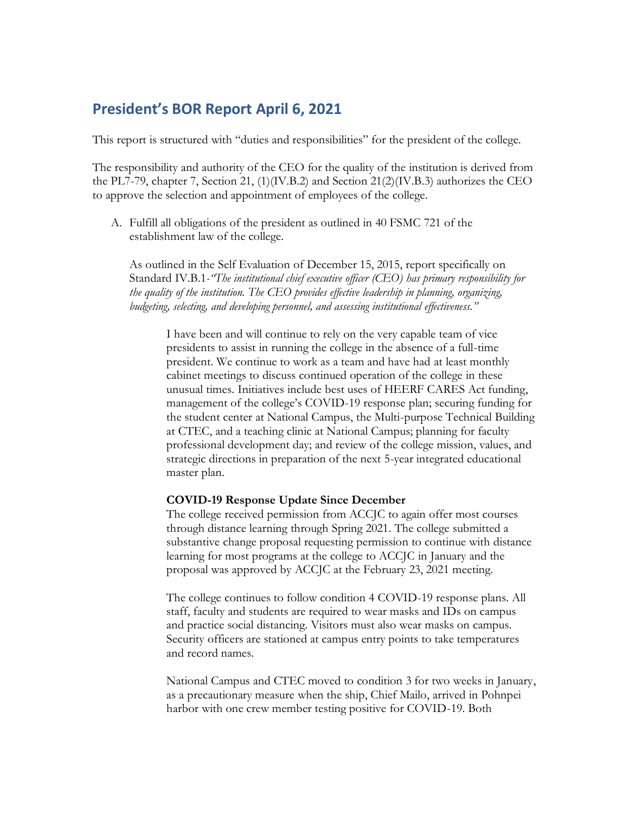## **President's BOR Report April 6, 2021**

This report is structured with "duties and responsibilities" for the president of the college.

The responsibility and authority of the CEO for the quality of the institution is derived from the PL7-79, chapter 7, Section 21, (1)(IV.B.2) and Section 21(2)(IV.B.3) authorizes the CEO to approve the selection and appointment of employees of the college.

A. Fulfill all obligations of the president as outlined in 40 FSMC 721 of the establishment law of the college.

As outlined in the Self Evaluation of December 15, 2015, report specifically on Standard IV.B.1*-"The institutional chief executive officer (CEO) has primary responsibility for the quality of the institution. The CEO provides effective leadership in planning, organizing, budgeting, selecting, and developing personnel, and assessing institutional effectiveness."*

I have been and will continue to rely on the very capable team of vice presidents to assist in running the college in the absence of a full-time president. We continue to work as a team and have had at least monthly cabinet meetings to discuss continued operation of the college in these unusual times. Initiatives include best uses of HEERF CARES Act funding, management of the college's COVID-19 response plan; securing funding for the student center at National Campus, the Multi-purpose Technical Building at CTEC, and a teaching clinic at National Campus; planning for faculty professional development day; and review of the college mission, values, and strategic directions in preparation of the next 5-year integrated educational master plan.

## **COVID-19 Response Update Since December**

The college received permission from ACCJC to again offer most courses through distance learning through Spring 2021. The college submitted a substantive change proposal requesting permission to continue with distance learning for most programs at the college to ACCJC in January and the proposal was approved by ACCJC at the February 23, 2021 meeting.

The college continues to follow condition 4 COVID-19 response plans. All staff, faculty and students are required to wear masks and IDs on campus and practice social distancing. Visitors must also wear masks on campus. Security officers are stationed at campus entry points to take temperatures and record names.

National Campus and CTEC moved to condition 3 for two weeks in January, as a precautionary measure when the ship, Chief Mailo, arrived in Pohnpei harbor with one crew member testing positive for COVID-19. Both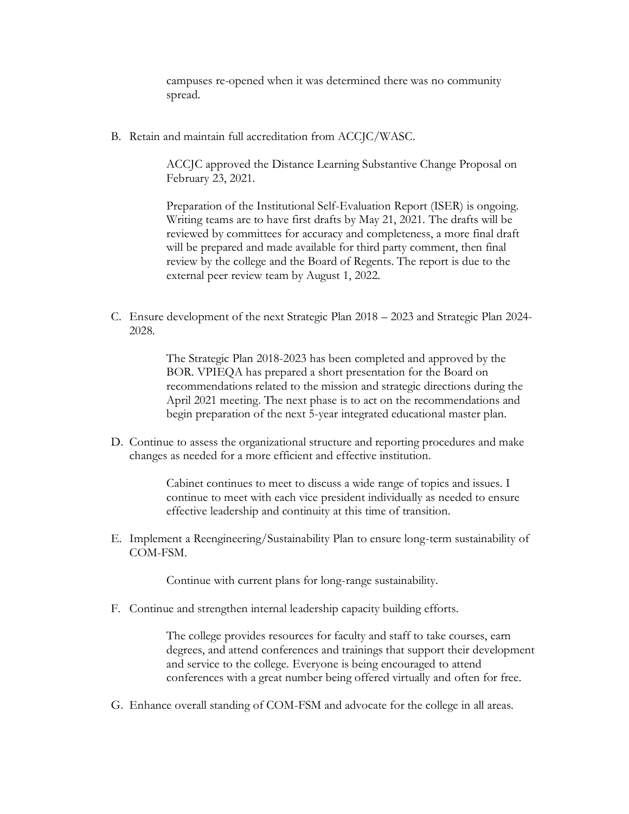campuses re-opened when it was determined there was no community spread.

B. Retain and maintain full accreditation from ACCJC/WASC.

ACCJC approved the Distance Learning Substantive Change Proposal on February 23, 2021.

Preparation of the Institutional Self-Evaluation Report (ISER) is ongoing. Writing teams are to have first drafts by May 21, 2021. The drafts will be reviewed by committees for accuracy and completeness, a more final draft will be prepared and made available for third party comment, then final review by the college and the Board of Regents. The report is due to the external peer review team by August 1, 2022.

C. Ensure development of the next Strategic Plan 2018 – 2023 and Strategic Plan 2024- 2028.

> The Strategic Plan 2018-2023 has been completed and approved by the BOR. VPIEQA has prepared a short presentation for the Board on recommendations related to the mission and strategic directions during the April 2021 meeting. The next phase is to act on the recommendations and begin preparation of the next 5-year integrated educational master plan.

D. Continue to assess the organizational structure and reporting procedures and make changes as needed for a more efficient and effective institution.

> Cabinet continues to meet to discuss a wide range of topics and issues. I continue to meet with each vice president individually as needed to ensure effective leadership and continuity at this time of transition.

E. Implement a Reengineering/Sustainability Plan to ensure long-term sustainability of COM-FSM.

Continue with current plans for long-range sustainability.

F. Continue and strengthen internal leadership capacity building efforts.

The college provides resources for faculty and staff to take courses, earn degrees, and attend conferences and trainings that support their development and service to the college. Everyone is being encouraged to attend conferences with a great number being offered virtually and often for free.

G. Enhance overall standing of COM-FSM and advocate for the college in all areas.